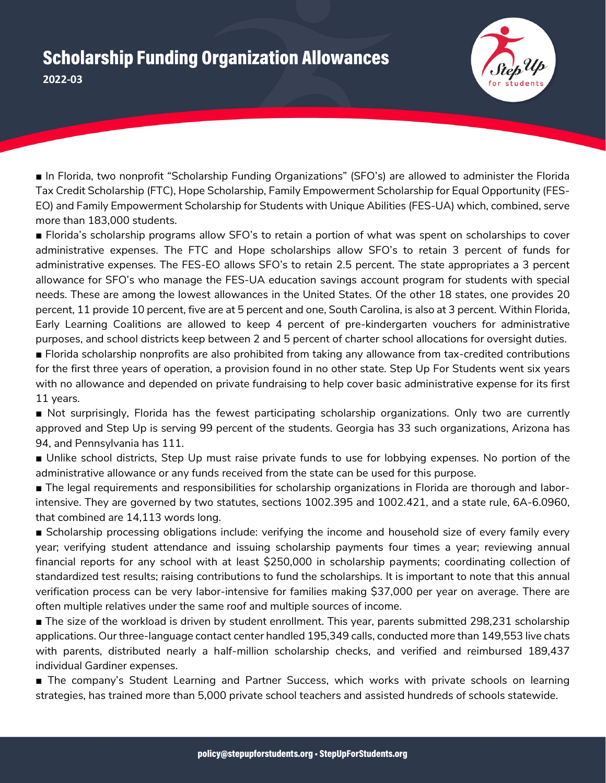## Scholarship Funding Organization Allowances **2022-03**



■ In Florida, two nonprofit "Scholarship Funding Organizations" (SFO's) are allowed to administer the Florida Tax Credit Scholarship (FTC), Hope Scholarship, Family Empowerment Scholarship for Equal Opportunity (FES-EO) and Family Empowerment Scholarship for Students with Unique Abilities (FES-UA) which, combined, serve more than 183,000 students.

■ Florida's scholarship programs allow SFO's to retain a portion of what was spent on scholarships to cover administrative expenses. The FTC and Hope scholarships allow SFO's to retain 3 percent of funds for administrative expenses. The FES-EO allows SFO's to retain 2.5 percent. The state appropriates a 3 percent allowance for SFO's who manage the FES-UA education savings account program for students with special needs. These are among the lowest allowances in the United States. Of the other 18 states, one provides 20 percent, 11 provide 10 percent, five are at 5 percent and one, South Carolina, is also at 3 percent. Within Florida, Early Learning Coalitions are allowed to keep 4 percent of pre-kindergarten vouchers for administrative purposes, and school districts keep between 2 and 5 percent of charter school allocations for oversight duties.

■ Florida scholarship nonprofits are also prohibited from taking any allowance from tax-credited contributions for the first three years of operation, a provision found in no other state. Step Up For Students went six years with no allowance and depended on private fundraising to help cover basic administrative expense for its first 11 years.

■ Not surprisingly, Florida has the fewest participating scholarship organizations. Only two are currently approved and Step Up is serving 99 percent of the students. Georgia has 33 such organizations, Arizona has 94, and Pennsylvania has 111.

■ Unlike school districts, Step Up must raise private funds to use for lobbying expenses. No portion of the administrative allowance or any funds received from the state can be used for this purpose.

■ The legal requirements and responsibilities for scholarship organizations in Florida are thorough and laborintensive. They are governed by two statutes, sections 1002.395 and 1002.421, and a state rule, 6A-6.0960, that combined are 14,113 words long.

■ Scholarship processing obligations include: verifying the income and household size of every family every year; verifying student attendance and issuing scholarship payments four times a year; reviewing annual financial reports for any school with at least \$250,000 in scholarship payments; coordinating collection of standardized test results; raising contributions to fund the scholarships. It is important to note that this annual verification process can be very labor-intensive for families making \$37,000 per year on average. There are often multiple relatives under the same roof and multiple sources of income.

■ The size of the workload is driven by student enrollment. This year, parents submitted 298,231 scholarship applications. Our three-language contact center handled 195,349 calls, conducted more than 149,553 live chats with parents, distributed nearly a half-million scholarship checks, and verified and reimbursed 189,437 individual Gardiner expenses.

■ The company's Student Learning and Partner Success, which works with private schools on learning strategies, has trained more than 5,000 private school teachers and assisted hundreds of schools statewide.